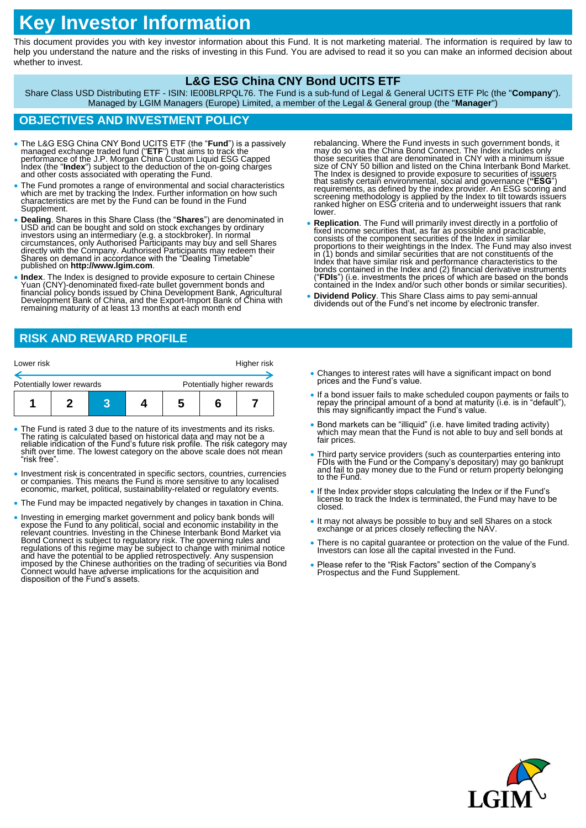# **Key Investor Information**

This document provides you with key investor information about this Fund. It is not marketing material. The information is required by law to help you understand the nature and the risks of investing in this Fund. You are advised to read it so you can make an informed decision about whether to invest.

#### **L&G ESG China CNY Bond UCITS ETF**

Share Class USD Distributing ETF - ISIN: IE00BLRPQL76. The Fund is a sub-fund of Legal & General UCITS ETF Plc (the "**Company**"). Managed by LGIM Managers (Europe) Limited, a member of the Legal & General group (the "**Manager**")

### **OBJECTIVES AND INVESTMENT POLICY**

- The L&G ESG China CNY Bond UCITS ETF (the "**Fund**") is a passively managed exchange traded fund ("ETF") that aims to track the performance of the J.P. Morgan China Custom Liquid ESG Capped Index (the "Index") subject to
- The Fund promotes a range of environmental and social characteristics which are met by tracking the Index. Further information on how such characteristics are met by the Fund can be found in the Fund Supplement.
- **Dealing**. Shares in this Share Class (the "**Shares**") are denominated in USD and can be bought and sold on stock exchanges by ordinary investors using an intermediary (e.g. a stockbroker). In normal circumstances, only published on **http://www.lgim.com**.
- **Index**. The Index is designed to provide exposure to certain Chinese Yuan (CNY)-denominated fixed-rate bullet government bonds and financial policy bonds issued by China Devĕlopment Bank, Agricultural<br>Development Bank of China, and the Export-Import Bank of China with remaining maturity of at least 13 months at each month end

# **RISK AND REWARD PROFILE**

| Lower risk                |  |  |  |                            | Higher risk |  |
|---------------------------|--|--|--|----------------------------|-------------|--|
| Potentially lower rewards |  |  |  | Potentially higher rewards |             |  |
|                           |  |  |  | n                          |             |  |

- The Fund is rated 3 due to the nature of its investments and its risks. The rating is calculated based on historical data and may not be a reliable indication of the Fund's future risk profile. The risk category may shift over time. The lowest category on the above scale does not mean "risk free".
- Investment risk is concentrated in specific sectors, countries, currencies or companies. This means the Fund is more sensitive to any localised economic, market, political, sustainability-related or regulatory events.
- The Fund may be impacted negatively by changes in taxation in China.
- Investing in emerging market government and policy bank bonds will<br>expose the Fund to any political, social and economic instability in the<br>relevant countries. Investing in the Chinese Interbank Bond Market via<br>Bond Conn Connect would have adverse implications for the acquisition and disposition of the Fund's assets.
- rebalancing. Where the Fund invests in such government bonds, it<br>may do so via the China Bond Connect. The Index includes only<br>those securities that are denominated in CNY with a minimum issue<br>size of CNY 50 billion and li The Index is designed to provide exposure to securities of issuers<br>that satisfy certain environmental, social and governance ("ESG")<br>requirements, as defined by the index provider. An ESG scoring and<br>screening methodology lower.
- **Replication**. The Fund will primarily invest directly in a portfolio of fixed income securities that, as far as possible and practicable, consists of the component securities of the Index in similar proportions to their weightings in the Index. The Fund may also invest in (1) bonds and similar securities that are not constituents of the Index that have similar risk and performance characteristics to the bonds contained in the Index and (2) financial derivative instruments ("**FDIs**") (i.e. investments the prices of which are based on the bonds contained in the Index and/or such other bonds or similar securities).
- **Dividend Policy**. This Share Class aims to pay semi-annual dividends out of the Fund's net income by electronic transfer.
- Changes to interest rates will have a significant impact on bond prices and the Fund's value.
- If a bond issuer fails to make scheduled coupon payments or fails to repay the principal amount of a bond at maturity (i.e. is in "default"), this may significantly impact the Fund's value.
- Bond markets can be "illiquid" (i.e. have limited trading activity) which may mean that the Fund is not able to buy and sell bonds at fair prices.
- Third party service providers (such as counterparties entering into FDIs with the Fund or the Company's depositary) may go bankrupt and fail to pay money due to the Fund or return property belonging to the Fund.
- If the Index provider stops calculating the Index or if the Fund's license to track the Index is terminated, the Fund may have to be closed.
- It may not always be possible to buy and sell Shares on a stock exchange or at prices closely reflecting the NAV
- There is no capital guarantee or protection on the value of the Fund. Investors can lose all the capital invested in the Fund.
- Please refer to the "Risk Factors" section of the Company's Prospectus and the Fund Supplement.